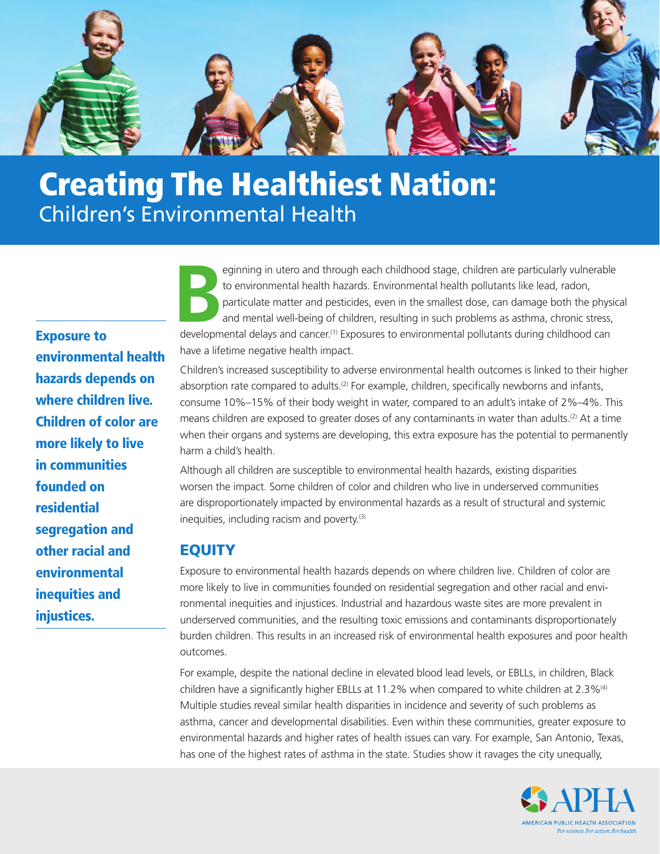

# Creating The Healthiest Nation: Children's Environmental Health

Exposure to environmental health hazards depends on where children live. Children of color are more likely to live in communities founded on residential segregation and other racial and environmental inequities and injustices.

Eginning in utero and through each childhood stage, children are particularly vulnerable<br>to environmental health hazards. Environmental health pollutants like lead, radon,<br>particulate matter and pesticides, even in the sma to environmental health hazards. Environmental health pollutants like lead, radon, particulate matter and pesticides, even in the smallest dose, can damage both the physical and mental well-being of children, resulting in such problems as asthma, chronic stress, developmental delays and cancer.<sup>[\(1\)](#page-3-0)</sup> Exposures to environmental pollutants during childhood can have a lifetime negative health impact.

Children's increased susceptibility to adverse environmental health outcomes is linked to their higher absorption rate compared to adults.<sup>[\(2\)](#page-3-1)</sup> For example, children, specifically newborns and infants, consume 10%–15% of their body weight in water, compared to an adult's intake of 2%–4%. This means children are exposed to greater doses of any contaminants in water than adults.<sup>(2)</sup> At a time when their organs and systems are developing, this extra exposure has the potential to permanently harm a child's health.

Although all children are susceptible to environmental health hazards, existing disparities worsen the impact. Some children of color and children who live in underserved communities are disproportionately impacted by environmental hazards as a result of structural and systemic inequities, including racism and poverty. (3)

# **EQUITY**

Exposure to environmental health hazards depends on where children live. Children of color are more likely to live in communities founded on residential segregation and other racial and environmental inequities and injustices. Industrial and hazardous waste sites are more prevalent in underserved communities, and the resulting toxic emissions and contaminants disproportionately burden children. This results in an increased risk of environmental health exposures and poor health outcomes.

 For example, despite the national decline in elevated blood lead levels, or EBLLs, in children, Black children have a significantly higher EBLLs at 11.2% when compared to white children at 2.3% $^{(4)}$ Multiple studies reveal similar health disparities in incidence and severity of such problems as asthma, cancer and developmental disabilities. Even within these communities, greater exposure to environmental hazards and higher rates of health issues can vary. For example, San Antonio, Texas, has one of the highest rates of asthma in the state. Studies show it ravages the city unequally,

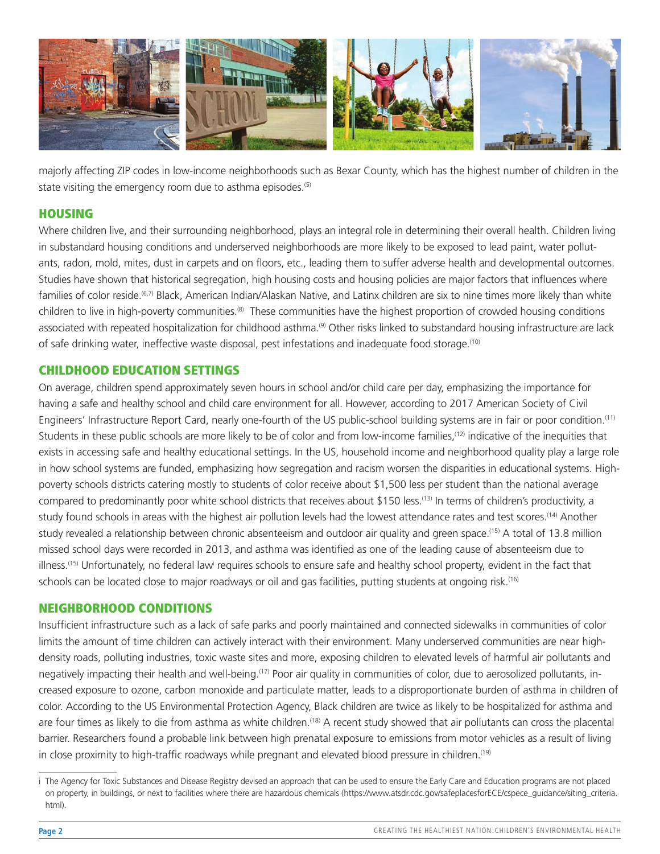

state visiting the emergency room due to asthma episodes.<sup>(5)</sup> majorly affecting ZIP codes in low-income neighborhoods such as Bexar County, which has the highest number of children in the

## **HOUSING**

Where children live, and their surrounding neighborhood, plays an integral role in determining their overall health. Children living in substandard housing conditions and underserved neighborhoods are more likely to be exposed to lead paint, water pollutants, radon, mold, mites, dust in carpets and on foors, etc., leading them to suffer adverse health and developmental outcomes. Studies have shown that historical segregation, high housing costs and housing policies are major factors that infuences where families of color reside.<sup>(6,[7\)](#page-3-5)</sup> Black, American Indian/Alaskan Native, and Latinx children are six to nine times more likely than white children to live in high-poverty communities[.\(8\)](#page-3-6) These communities have the highest proportion of crowded housing conditions associated with repeated hospitalization for childhood asthma.<sup>(9)</sup> Other risks linked to substandard housing infrastructure are lack of safe drinking water, ineffective waste disposal, pest infestations and inadequate food storage[.\(10\)](#page-3-8) 

## CHILDHOOD EDUCATION SETTINGS

On average, children spend approximately seven hours in school and/or child care per day, emphasizing the importance for having a safe and healthy school and child care environment for all. However, according to 2017 American Society of Civil Engineers' Infrastructure Report Card, nearly one-fourth of the US public-school building systems are in fair or poor condition[.\(11\)](#page-3-9)  Students in these public schools are more likely to be of color and from low-income families[,\(12\)](#page-3-10) indicative of the inequities that exists in accessing safe and healthy educational settings. In the US, household income and neighborhood quality play a large role in how school systems are funded, emphasizing how segregation and racism worsen the disparities in educational systems. Highpoverty schools districts catering mostly to students of color receive about \$1,500 less per student than the national average compared to predominantly poor white school districts that receives about \$150 less.<sup>[\(13\)](#page-3-11)</sup> In terms of children's productivity, a study found schools in areas with the highest air pollution levels had the lowest attendance rates and test scores.<sup>[\(14\)](#page-3-12)</sup> Another study revealed a relationship between chronic absenteeism and outdoor air quality and green space[.\(15\)](#page-3-13) A total of 13.8 million missed school days were recorded in 2013, and asthma was identifed as one of the leading cause of absenteeism due to illness.<sup>(15)</sup> Unfortunately, no federal lawi requires schools to ensure safe and healthy school property, evident in the fact that schools can be located close to major roadways or oil and gas facilities, putting students at ongoing risk.<sup>[\(16\)](#page-3-14)</sup>

#### NEIGHBORHOOD CONDITIONS

Insufficient infrastructure such as a lack of safe parks and poorly maintained and connected sidewalks in communities of color limits the amount of time children can actively interact with their environment. Many underserved communities are near highdensity roads, polluting industries, toxic waste sites and more, exposing children to elevated levels of harmful air pollutants and negatively impacting their health and well-being[.\(17\)](#page-3-15) Poor air quality in communities of color, due to aerosolized pollutants, increased exposure to ozone, carbon monoxide and particulate matter, leads to a disproportionate burden of asthma in children of color. According to the US Environmental Protection Agency, Black children are twice as likely to be hospitalized for asthma and are four times as likely to die from asthma as white children.<sup>(18)</sup> A recent study showed that air pollutants can cross the placental barrier. Researchers found a probable link between high prenatal exposure to emissions from motor vehicles as a result of living in close proximity to high-traffic roadways while pregnant and elevated blood pressure in children.<sup>(19)</sup>

i The Agency for Toxic Substances and Disease Registry devised an approach that can be used to ensure the Early Care and Education programs are not placed on property, in buildings, or next to facilities where there are hazardous chemicals [\(https://www.atsdr.cdc.gov/safeplacesforECE/cspece\\_guidance/siting\\_criteria.](https://www.atsdr.cdc.gov/safeplacesforECE/cspece_guidance/siting_criteria.html) [html](https://www.atsdr.cdc.gov/safeplacesforECE/cspece_guidance/siting_criteria.html)).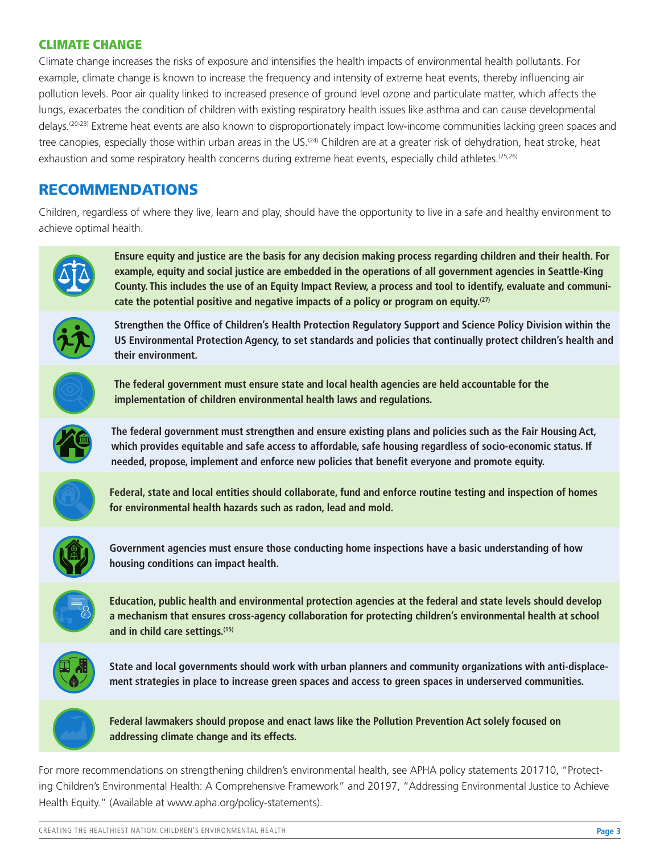# CLIMATE CHANGE

Climate change increases the risks of exposure and intensifes the health impacts of environmental health pollutants. For example, climate change is known to increase the frequency and intensity of extreme heat events, thereby infuencing air pollution levels. Poor air quality linked to increased presence of ground level ozone and particulate matter, which affects the lungs, exacerbates the condition of children with existing respiratory health issues like asthma and can cause developmental delays[.\(20-23\)](#page-3-17) Extreme heat events are also known to disproportionately impact low-income communities lacking green spaces and tree canopies, especially those within urban areas in the US.<sup>[\(24\)](#page-3-18)</sup> Children are at a greater risk of dehydration, heat stroke, heat exhaustion and some respiratory health concerns during extreme heat events, especially child athletes.<sup>(25,26)</sup>

# RECOMMENDATIONS

Children, regardless of where they live, learn and play, should have the opportunity to live in a safe and healthy environment to achieve optimal health.



**Ensure equity and justice are the basis for any decision making process regarding children and their health. For example, equity and social justice are embedded in the operations of all government agencies in Seattle-King County. This includes the use of an Equity Impact Review, a process and tool to identify, evaluate and communicate the potential positive and negative impacts of a policy or program on equity[.\(27\)](#page-3-20)** 



**Strengthen the Office of Children's Health Protection Regulatory Support and Science Policy Division within the US Environmental Protection Agency, to set standards and policies that continually protect children's health and their environment.** 



**The federal government must ensure state and local health agencies are held accountable for the implementation of children environmental health laws and regulations.** 



**The federal government must strengthen and ensure existing plans and policies such as the Fair Housing Act, which provides equitable and safe access to affordable, safe housing regardless of socio-economic status. If**  needed, propose, implement and enforce new policies that benefit everyone and promote equity.



**Federal, state and local entities should collaborate, fund and enforce routine testing and inspection of homes for environmental health hazards such as radon, lead and mold.** 



**Government agencies must ensure those conducting home inspections have a basic understanding of how housing conditions can impact health.** 



**Education, public health and environmental protection agencies at the federal and state levels should develop a mechanism that ensures cross-agency collaboration for protecting children's environmental health at school and in child care settings[.\(15\)](#page-3-13)** 



**State and local governments should work with urban planners and community organizations with anti-displacement strategies in place to increase green spaces and access to green spaces in underserved communities.** 



For more recommendations on strengthening children's environmental health, see APHA policy statements 201710, "Protecting Children's Environmental Health: A Comprehensive Framework" and 20197, "Addressing Environmental Justice to Achieve Health Equity." (Available at<www.apha.org/policy-statements>).